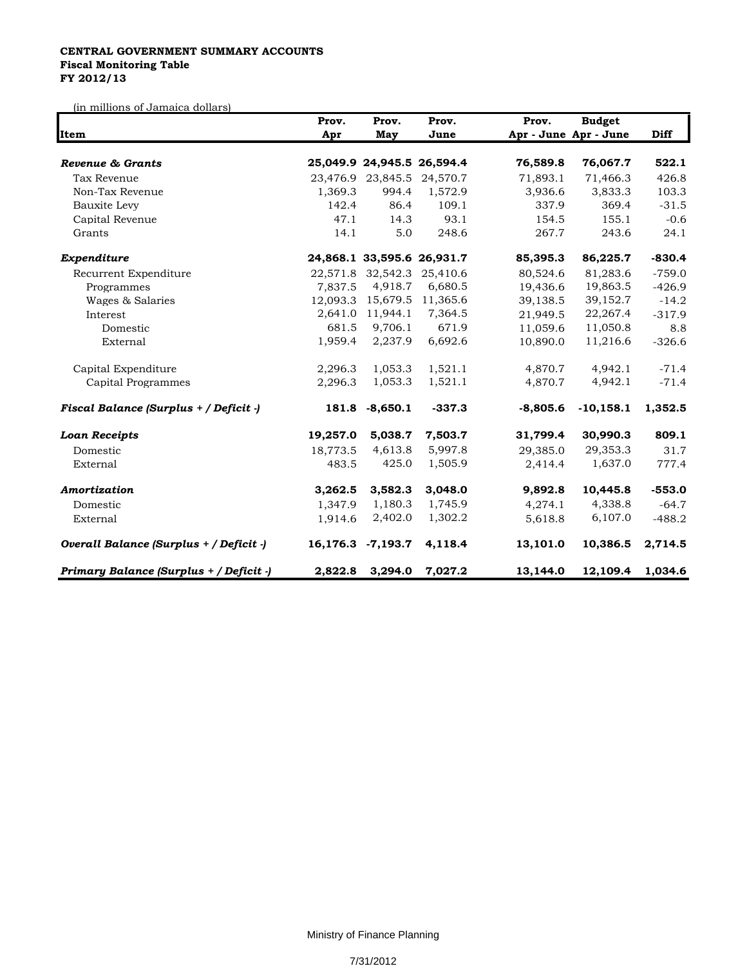## **CENTRAL GOVERNMENT SUMMARY ACCOUNTS Fiscal Monitoring Table FY 2012/13**

(in millions of Jamaica dollars)

|                                         | Prov.    | Prov.<br>May      | Prov.<br>June              | Prov.                 | Diff             |          |
|-----------------------------------------|----------|-------------------|----------------------------|-----------------------|------------------|----------|
| Item                                    | Apr      |                   |                            | Apr - June Apr - June |                  |          |
| Revenue & Grants                        |          |                   | 25,049.9 24,945.5 26,594.4 | 76,589.8              | 76,067.7         | 522.1    |
| Tax Revenue                             |          | 23,476.9 23,845.5 | 24,570.7                   | 71,893.1              | 71,466.3         | 426.8    |
| Non-Tax Revenue                         | 1,369.3  | 994.4             | 1,572.9                    | 3,936.6               | 3,833.3          | 103.3    |
| Bauxite Levy                            | 142.4    | 86.4              | 109.1                      | 337.9                 | 369.4            | $-31.5$  |
| Capital Revenue                         | 47.1     | 14.3              | 93.1                       | 154.5                 | 155.1            | $-0.6$   |
| Grants                                  | 14.1     | 5.0               | 248.6                      | 267.7                 | 243.6            | 24.1     |
| Expenditure                             |          |                   | 24,868.1 33,595.6 26,931.7 | 85,395.3              | 86,225.7         | $-830.4$ |
| Recurrent Expenditure                   |          | 22,571.8 32,542.3 | 25,410.6                   | 80,524.6              | 81,283.6         | $-759.0$ |
| Programmes                              | 7,837.5  | 4,918.7           | 6,680.5                    | 19,436.6              | 19,863.5         | $-426.9$ |
| Wages & Salaries                        | 12,093.3 | 15,679.5          | 11,365.6                   | 39,138.5              | 39,152.7         | $-14.2$  |
| Interest                                | 2,641.0  | 11,944.1          | 7,364.5                    | 21.949.5              | 22,267.4         | $-317.9$ |
| Domestic                                | 681.5    | 9,706.1           | 671.9                      | 11,059.6              | 11,050.8         | 8.8      |
| External                                | 1,959.4  | 2,237.9           | 6,692.6                    | 10,890.0              | 11,216.6         | $-326.6$ |
| Capital Expenditure                     | 2,296.3  | 1,053.3           | 1,521.1                    | 4,870.7               | 4,942.1          | $-71.4$  |
| Capital Programmes                      | 2,296.3  | 1,053.3           | 1,521.1                    | 4,870.7               | 4,942.1          | $-71.4$  |
| Fiscal Balance (Surplus + / Deficit -)  |          | 181.8 -8,650.1    | $-337.3$                   | $-8,805.6$            | $-10,158.1$      | 1,352.5  |
| <b>Loan Receipts</b>                    | 19,257.0 | 5,038.7           | 7,503.7                    | 31,799.4              | 30,990.3         | 809.1    |
| Domestic                                | 18,773.5 | 4,613.8           | 5,997.8                    | 29,385.0              | 29,353.3         | 31.7     |
| External                                | 483.5    | 425.0             | 1,505.9                    | 2,414.4               | 1,637.0          | 777.4    |
| Amortization                            | 3,262.5  | 3,582.3           | 3,048.0                    | 9,892.8               | 10,445.8         | $-553.0$ |
| Domestic                                | 1,347.9  | 1,180.3           | 1,745.9                    | 4,274.1               | 4,338.8          | $-64.7$  |
| External                                | 1,914.6  | 2,402.0           | 1,302.2                    | 5,618.8               | 6,107.0          | $-488.2$ |
| Overall Balance (Surplus + / Deficit -) |          | 16,176.3 -7,193.7 | 4,118.4                    | 13,101.0              | 10,386.5         | 2,714.5  |
| Primary Balance (Surplus + / Deficit -) |          | 2,822.8 3,294.0   | 7,027.2                    | 13,144.0              | 12,109.4 1,034.6 |          |